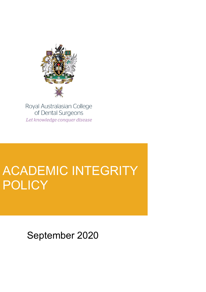

Royal Australasian College of Dental Surgeons Let knowledge conquer disease

# ACADEMIC INTEGRITY POLICY

September 2020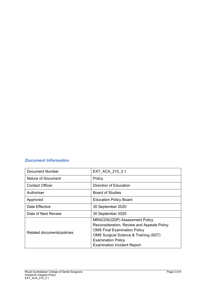# *Document Information*

| Document Number            | EXT ACA 210 3.1                                                                                                                                                                                                                                  |
|----------------------------|--------------------------------------------------------------------------------------------------------------------------------------------------------------------------------------------------------------------------------------------------|
| Nature of Document         | Policy                                                                                                                                                                                                                                           |
| <b>Contact Officer</b>     | Direction of Education                                                                                                                                                                                                                           |
| Authoriser                 | <b>Board of Studies</b>                                                                                                                                                                                                                          |
| Approved                   | <b>Education Policy Board</b>                                                                                                                                                                                                                    |
| Date Effective             | 30 September 2020                                                                                                                                                                                                                                |
| Date of Next Review        | 30 September 2025                                                                                                                                                                                                                                |
| Related documents/policies | <b>MRACDS(GDP) Assessment Policy</b><br>Reconsideration, Review and Appeals Policy<br><b>OMS Final Examination Policy</b><br><b>OMS Surgical Science &amp; Training (SST)</b><br><b>Examination Policy</b><br><b>Examination Incident Report</b> |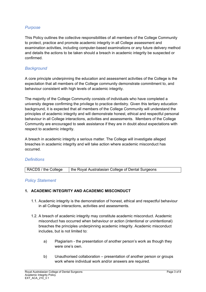## *Purpose*

This Policy outlines the collective responsibilities of all members of the College Community to protect, practice and promote academic integrity in all College assessment and examination activities, including computer-based examinations or any future delivery method and details the actions to be taken should a breach in academic integrity be suspected or confirmed.

## *Background*

A core principle underpinning the education and assessment activities of the College is the expectation that all members of the College community demonstrate commitment to, and behaviour consistent with high levels of academic integrity.

The majority of the College Community consists of individuals who have completed a university degree confirming the privilege to practice dentistry. Given this tertiary education background, it is expected that all members of the College Community will understand the principles of academic integrity and will demonstrate honest, ethical and respectful personal behaviour in all College interactions, activities and assessments. Members of the College Community are encouraged to seek assistance if they are in doubt about expectations with respect to academic integrity.

A breach in academic integrity a serious matter. The College will investigate alleged breaches in academic integrity and will take action where academic misconduct has occurred.

## *Definitions*

| RACDS / the College | the Royal Australasian College of Dental Surgeons |
|---------------------|---------------------------------------------------|
|---------------------|---------------------------------------------------|

#### *Policy Statement*

#### **1. ACADEMIC INTEGRITY AND ACADEMIC MISCONDUCT**

- 1.1. Academic integrity is the demonstration of honest, ethical and respectful behaviour in all College interactions, activities and assessments.
- 1.2. A breach of academic integrity may constitute academic misconduct. Academic misconduct has occurred when behaviour or action (intentional or unintentional) breaches the principles underpinning academic integrity. Academic misconduct includes, but is not limited to:
	- a) Plagiarism the presentation of another person's work as though they were one's own.
	- b) Unauthorised collaboration presentation of another person or groups work where individual work and/or answers are required.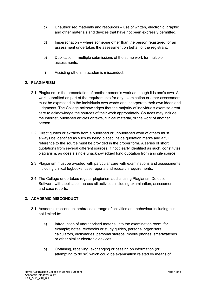- c) Unauthorised materials and resources use of written, electronic, graphic and other materials and devices that have not been expressly permitted.
- d) Impersonation where someone other than the person registered for an assessment undertakes the assessment on behalf of the registrant.
- e) Duplication multiple submissions of the same work for multiple assessments.
- f) Assisting others in academic misconduct.

## **2. PLAGIARISM**

- 2.1. Plagiarism is the presentation of another person's work as though it is one's own. All work submitted as part of the requirements for any examination or other assessment must be expressed in the individuals own words and incorporate their own ideas and judgments. The College acknowledges that the majority of individuals exercise great care to acknowledge the sources of their work appropriately. Sources may include the internet, published articles or texts, clinical material, or the work of another person.
- 2.2. Direct quotes or extracts from a published or unpublished work of others must always be identified as such by being placed inside quotation marks and a full reference to the source must be provided in the proper form. A series of short quotations from several different sources, if not clearly identified as such, constitutes plagiarism, as does a single unacknowledged long quotation from a single source.
- 2.3. Plagiarism must be avoided with particular care with examinations and assessments including clinical logbooks, case reports and research requirements.
- 2.4. The College undertakes regular plagiarism audits using Plagiarism Detection Software with application across all activities including examination, assessment and case reports.

#### **3. ACADEMIC MISCONDUCT**

- 3.1. Academic misconduct embraces a range of activities and behaviour including but not limited to:
	- a) Introduction of unauthorised material into the examination room, for example; notes, textbooks or study guides, personal organisers, calculators, dictionaries, personal stereos, mobile phones, smartwatches or other similar electronic devices.
	- b) Obtaining, receiving, exchanging or passing on information (or attempting to do so) which could be examination related by means of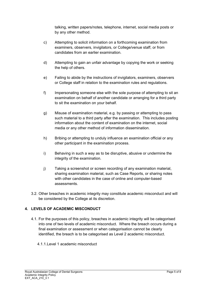talking, written papers/notes, telephone, internet, social media posts or by any other method.

- c) Attempting to solicit information on a forthcoming examination from examiners, observers, invigilators, or College/venue staff, or from candidates from an earlier examination.
- d) Attempting to gain an unfair advantage by copying the work or seeking the help of others.
- e) Failing to abide by the instructions of invigilators, examiners, observers or College staff in relation to the examination rules and regulations.
- f) Impersonating someone else with the sole purpose of attempting to sit an examination on behalf of another candidate or arranging for a third party to sit the examination on your behalf.
- g) Misuse of examination material, e.g. by passing or attempting to pass such material to a third party after the examination. This includes posting information about the content of examination on the internet, social media or any other method of information dissemination.
- h) Bribing or attempting to unduly influence an examination official or any other participant in the examination process.
- i) Behaving in such a way as to be disruptive, abusive or undermine the integrity of the examination.
- j) Taking a screenshot or screen recording of any examination material, sharing examination material, such as Case Reports, or sharing notes with other candidates in the case of online and computer-based assessments.
- 3.2. Other breaches in academic integrity may constitute academic misconduct and will be considered by the College at its discretion.

## **4. LEVELS OF ACADEMIC MISCONDUCT**

- 4.1. For the purposes of this policy, breaches in academic integrity will be categorised into one of two levels of academic misconduct. Where the breach occurs during a final examination or assessment or when categorisation cannot be clearly identified, the breach is to be categorised as Level 2 academic misconduct.
	- 4.1.1.Level 1 academic misconduct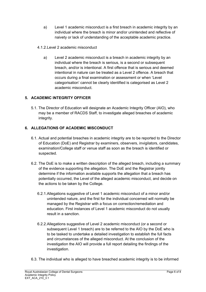- a) Level 1 academic misconduct is a first breach in academic integrity by an individual where the breach is minor and/or unintended and reflective of naivety or lack of understanding of the acceptable academic practice.
- 4.1.2.Level 2 academic misconduct
	- a) Level 2 academic misconduct is a breach in academic integrity by an individual where the breach is serious, is a second or subsequent breach, and/or is intentional. A first offence that is serious and deemed intentional in nature can be treated as a Level 2 offence. A breach that occurs during a final examination or assessment or when 'Level categorisation' cannot be clearly identified is categorised as Level 2 academic misconduct.

# **5. ACADEMIC INTEGRITY OFFICER**

5.1. The Director of Education will designate an Academic Integrity Officer (AIO), who may be a member of RACDS Staff, to investigate alleged breaches of academic integrity.

# **6. ALLEGATIONS OF ACADEMIC MISCONDUCT**

- 6.1. Actual and potential breaches in academic integrity are to be reported to the Director of Education (DoE) and Registrar by examiners, observers, invigilators, candidates, examination/College staff or venue staff as soon as the breach is identified or suspected.
- 6.2. The DoE is to make a written description of the alleged breach, including a summary of the evidence supporting the allegation. The DoE and the Registrar jointly determine if the information available supports the allegation that a breach has potentially occurred, the Level of the alleged academic misconduct, and decide on the actions to be taken by the College.
	- 6.2.1.Allegations suggestive of Level 1 academic misconduct of a minor and/or unintended nature, and the first for the individual concerned will normally be managed by the Registrar with a focus on correction/remediation and education. First instances of Level 1 academic misconduct do not usually result in a sanction.
	- 6.2.2.Allegations suggestive of Level 2 academic misconduct (or a second or subsequent Level 1 breach) are to be referred to the AIO by the DoE who is to be tasked to undertake a detailed investigation to establish the full facts and circumstances of the alleged misconduct. At the conclusion of the investigation the AIO will provide a full report detailing the findings of the investigation.
- 6.3. The individual who is alleged to have breached academic integrity is to be informed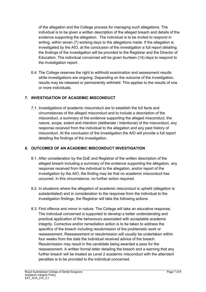of the allegation and the College process for managing such allegations. The individual is to be given a written description of the alleged breach and details of the evidence supporting the allegation. The individual is to be invited to respond in writing, within seven (7) working days to the allegations made. If the allegation is investigated by the AIO, at the conclusion of the investigation a full report detailing the findings of the investigation will be provided to the Registrar and the Director of Education. The individual concerned will be given fourteen (14) days to respond to the investigation report.

6.4. The College reserves the right to withhold examination and assessment results while investigations are ongoing. Depending on the outcome of the investigation, results may be released or permanently withheld. This applies to the results of one or more individuals.

# **7. INVESTIGATION OF ACADEMIC MISCONDUCT**

7.1. Investigations of academic misconduct are to establish the full facts and circumstances of the alleged misconduct and to include a description of the misconduct, a summary of the evidence supporting the alleged misconduct, the nature, scope, extent and intention (deliberate / intentional) of the misconduct, any response received from the individual to the allegation and any past history of misconduct. At the conclusion of the investigation the AIO will provide a full report detailing the findings of the investigation.

## **8. OUTCOMES OF AN ACADEMIC MISCONDUCT INVESTIGATION**

- 8.1. After consideration by the DoE and Registrar of the written description of the alleged breach including a summary of the evidence supporting the allegation, any response received from the individual to the allegation, and/or report of the investigation by the AIO, the finding may be that no academic misconduct has occurred. In this circumstance, no further action required.
- 8.2. In situations where the allegation of academic misconduct is upheld (allegation is substantiated) and in consideration to the response from the individual to the investigation findings, the Registrar will take the following actions.
- 8.3. First offence and minor in nature. The College will take an educative response. The individual concerned is supported to develop a better understanding and practical application of the behaviours associated with acceptable academic integrity. Corrective and/or remediation action is to be taken to address the specifics of the breach including resubmission of the problematic work or reassessment. Reassessment or resubmission will usually be undertaken within four weeks from the date the individual received advice of the breach. Resubmission may result in the candidate being awarded a pass for the reassessment. A written formal letter detailing the breach and a warning that any further breach will be treated as Level 2 academic misconduct with the attendant penalties is to be provided to the individual concerned.